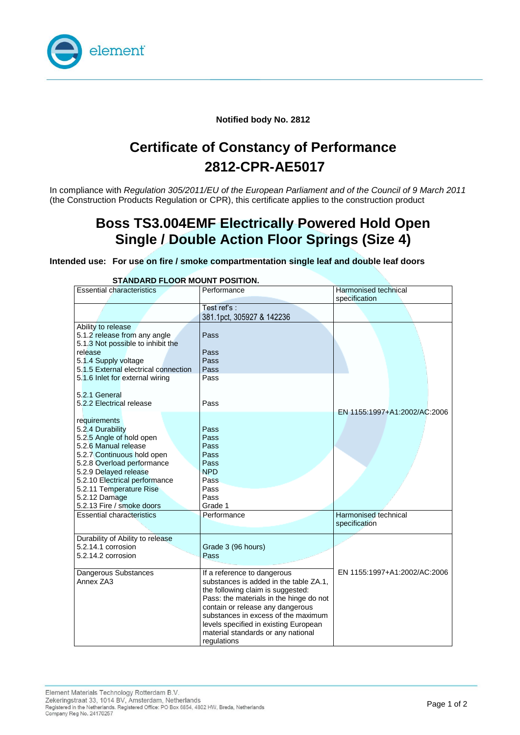

#### **Notified body No. 2812**

# **Certificate of Constancy of Performance 2812-CPR-AE5017**

In compliance with *Regulation 305/2011/EU of the European Parliament and of the Council of 9 March 2011*  (the Construction Products Regulation or CPR), this certificate applies to the construction product

## **Boss TS3.004EMF Electrically Powered Hold Open Single / Double Action Floor Springs (Size 4)**

**Intended use: For use on fire / smoke compartmentation single leaf and double leaf doors**

| <b>Essential characteristics</b>     | Performance                             | Harmonised technical         |
|--------------------------------------|-----------------------------------------|------------------------------|
|                                      |                                         | specification                |
|                                      | Test ref's :                            |                              |
|                                      | 381.1pct, 305927 & 142236               |                              |
| Ability to release                   |                                         |                              |
| 5.1.2 release from any angle         | Pass                                    |                              |
| 5.1.3 Not possible to inhibit the    |                                         |                              |
| release                              | Pass                                    |                              |
| 5.1.4 Supply voltage                 | Pass                                    |                              |
| 5.1.5 External electrical connection | Pass                                    |                              |
|                                      | Pass                                    |                              |
| 5.1.6 Inlet for external wiring      |                                         |                              |
|                                      |                                         |                              |
| 5.2.1 General                        |                                         |                              |
| 5.2.2 Electrical release             | Pass                                    |                              |
|                                      |                                         | EN 1155:1997+A1:2002/AC:2006 |
| requirements                         |                                         |                              |
| 5.2.4 Durability                     | Pass                                    |                              |
| 5.2.5 Angle of hold open             | Pass                                    |                              |
| 5.2.6 Manual release                 | Pass                                    |                              |
| 5.2.7 Continuous hold open           | Pass                                    |                              |
| 5.2.8 Overload performance           | Pass                                    |                              |
| 5.2.9 Delayed release                | <b>NPD</b>                              |                              |
| 5.2.10 Electrical performance        | Pass                                    |                              |
| 5.2.11 Temperature Rise              | Pass                                    |                              |
| 5.2.12 Damage                        | Pass                                    |                              |
| 5.2.13 Fire / smoke doors            | Grade 1                                 |                              |
| <b>Essential characteristics</b>     | Performance                             | Harmonised technical         |
|                                      |                                         | specification                |
|                                      |                                         |                              |
| Durability of Ability to release     |                                         |                              |
| 5.2.14.1 corrosion                   | Grade 3 (96 hours)                      |                              |
| 5.2.14.2 corrosion                   | Pass                                    |                              |
|                                      |                                         |                              |
| Dangerous Substances                 | If a reference to dangerous             | EN 1155:1997+A1:2002/AC:2006 |
| Annex ZA3                            | substances is added in the table ZA.1.  |                              |
|                                      | the following claim is suggested:       |                              |
|                                      | Pass: the materials in the hinge do not |                              |
|                                      | contain or release any dangerous        |                              |
|                                      | substances in excess of the maximum     |                              |
|                                      | levels specified in existing European   |                              |
|                                      | material standards or any national      |                              |
|                                      | regulations                             |                              |
|                                      |                                         |                              |

#### **STANDARD FLOOR MOUNT POSITION.**